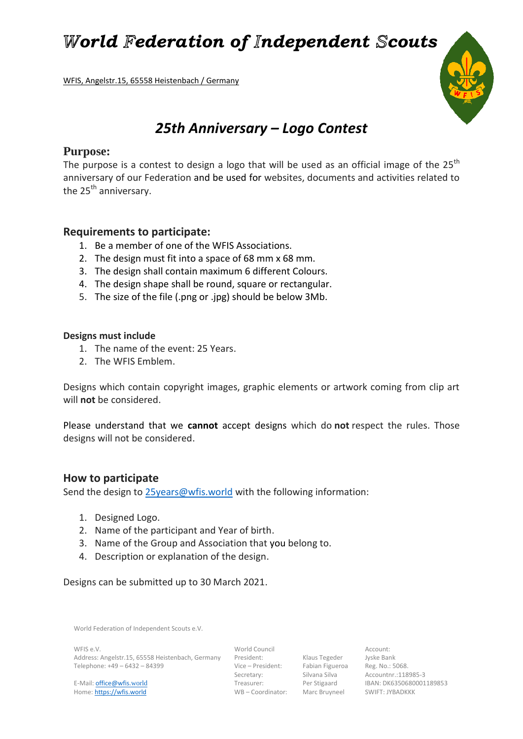*World Federation of Independent Scouts* 

WFIS, Angelstr.15, 65558 Heistenbach / Germany

# *25th Anniversary – Logo Contest*

## **Purpose:**

The purpose is a contest to design a logo that will be used as an official image of the  $25<sup>th</sup>$ anniversary of our Federation and be used for websites, documents and activities related to the  $25<sup>th</sup>$  anniversary.

## **Requirements to participate:**

- 1. Be a member of one of the WFIS Associations.
- 2. The design must fit into a space of 68 mm x 68 mm.
- 3. The design shall contain maximum 6 different Colours.
- 4. The design shape shall be round, square or rectangular.
- 5. The size of the file (.png or .jpg) should be below 3Mb.

#### **Designs must include**

- 1. The name of the event: 25 Years.
- 2. The WFIS Emblem.

Designs which contain copyright images, graphic elements or artwork coming from clip art will **not** be considered.

Please understand that we **cannot** accept designs which do **not** respect the rules. Those designs will not be considered.

## **How to participate**

Send the design to [25years@wfis.world](mailto:25years@wfis.world) with the following information:

- 1. Designed Logo.
- 2. Name of the participant and Year of birth.
- 3. Name of the Group and Association that you belong to.
- 4. Description or explanation of the design.

Designs can be submitted up to 30 March 2021.

World Federation of Independent Scouts e.V.

WFIS e.V. World Council Account: Address: Angelstr.15, 65558 Heistenbach, Germany President: Klaus Tegeder Jyske Bank<br>Telephone: +49 – 6432 – 84399 Vice – President: Fabian Figueroa Reg. No.: 5

Home: https://wfis.world WB – Coordinator: Marc Bruyneel SWIFT: JYBADKKK

Vice – President: +59 – Fabian Figueroa – Reg. No.: 5068.<br>Secretary: +59 – Silvana Silva – Accountnr.:118

Secretary: Silvana Silva Accountnr.:118985-3 E-Mail: **office@wfis.world** Treasurer: Per Stigaard IBAN: DK6350680001189853